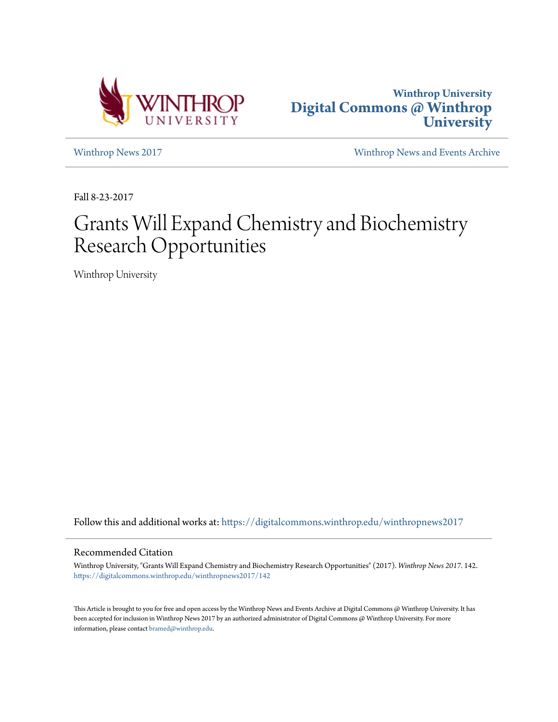



[Winthrop News 2017](https://digitalcommons.winthrop.edu/winthropnews2017?utm_source=digitalcommons.winthrop.edu%2Fwinthropnews2017%2F142&utm_medium=PDF&utm_campaign=PDFCoverPages) [Winthrop News and Events Archive](https://digitalcommons.winthrop.edu/winthropnewsarchives?utm_source=digitalcommons.winthrop.edu%2Fwinthropnews2017%2F142&utm_medium=PDF&utm_campaign=PDFCoverPages)

Fall 8-23-2017

# Grants Will Expand Chemistry and Biochemistry Research Opportunities

Winthrop University

Follow this and additional works at: [https://digitalcommons.winthrop.edu/winthropnews2017](https://digitalcommons.winthrop.edu/winthropnews2017?utm_source=digitalcommons.winthrop.edu%2Fwinthropnews2017%2F142&utm_medium=PDF&utm_campaign=PDFCoverPages)

### Recommended Citation

Winthrop University, "Grants Will Expand Chemistry and Biochemistry Research Opportunities" (2017). *Winthrop News 2017*. 142. [https://digitalcommons.winthrop.edu/winthropnews2017/142](https://digitalcommons.winthrop.edu/winthropnews2017/142?utm_source=digitalcommons.winthrop.edu%2Fwinthropnews2017%2F142&utm_medium=PDF&utm_campaign=PDFCoverPages)

This Article is brought to you for free and open access by the Winthrop News and Events Archive at Digital Commons @ Winthrop University. It has been accepted for inclusion in Winthrop News 2017 by an authorized administrator of Digital Commons @ Winthrop University. For more information, please contact [bramed@winthrop.edu](mailto:bramed@winthrop.edu).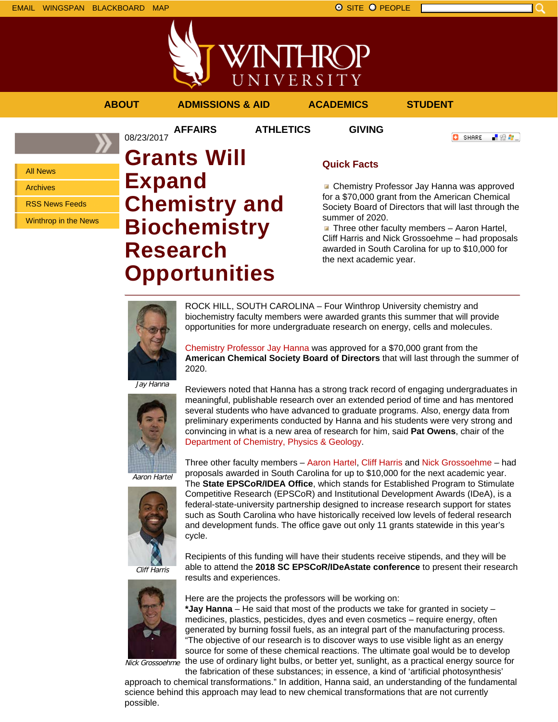



## **ABOUT ADMISSIONS & AID ACADEMICS STUDENT**

**AFFAIRS ATHLETICS GIVING**

**O** SHARE

「验費」

All News

Archives

RSS News Feeds

Winthrop in the News

## 08/23/2017 **Grants Will Expand Chemistry and Biochemistry Research Opportunities**

## **Quick Facts**

**Chemistry Professor Jay Hanna was approved** for a \$70,000 grant from the American Chemical Society Board of Directors that will last through the summer of 2020.

 $\blacksquare$  Three other faculty members - Aaron Hartel, Cliff Harris and Nick Grossoehme – had proposals awarded in South Carolina for up to \$10,000 for the next academic year.



ROCK HILL, SOUTH CAROLINA – Four Winthrop University chemistry and biochemistry faculty members were awarded grants this summer that will provide opportunities for more undergraduate research on energy, cells and molecules.

Chemistry Professor Jay Hanna was approved for a \$70,000 grant from the **American Chemical Society Board of Directors** that will last through the summer of 2020.

Jay Hanna



Reviewers noted that Hanna has a strong track record of engaging undergraduates in meaningful, publishable research over an extended period of time and has mentored several students who have advanced to graduate programs. Also, energy data from preliminary experiments conducted by Hanna and his students were very strong and convincing in what is a new area of research for him, said **Pat Owens**, chair of the Department of Chemistry, Physics & Geology.

Three other faculty members – Aaron Hartel, Cliff Harris and Nick Grossoehme – had proposals awarded in South Carolina for up to \$10,000 for the next academic year.

Aaron Hartel



The **State EPSCoR/IDEA Office**, which stands for Established Program to Stimulate Competitive Research (EPSCoR) and Institutional Development Awards (IDeA), is a federal-state-university partnership designed to increase research support for states such as South Carolina who have historically received low levels of federal research and development funds. The office gave out only 11 grants statewide in this year's cycle.

Recipients of this funding will have their students receive stipends, and they will be able to attend the **2018 SC EPSCoR/IDeAstate conference** to present their research

Cliff Harris



Nick Grossoehme

Here are the projects the professors will be working on:

results and experiences.

**\*Jay Hanna** – He said that most of the products we take for granted in society – medicines, plastics, pesticides, dyes and even cosmetics – require energy, often generated by burning fossil fuels, as an integral part of the manufacturing process. "The objective of our research is to discover ways to use visible light as an energy source for some of these chemical reactions. The ultimate goal would be to develop the use of ordinary light bulbs, or better yet, sunlight, as a practical energy source for

the fabrication of these substances; in essence, a kind of 'artificial photosynthesis' approach to chemical transformations." In addition, Hanna said, an understanding of the fundamental science behind this approach may lead to new chemical transformations that are not currently possible.